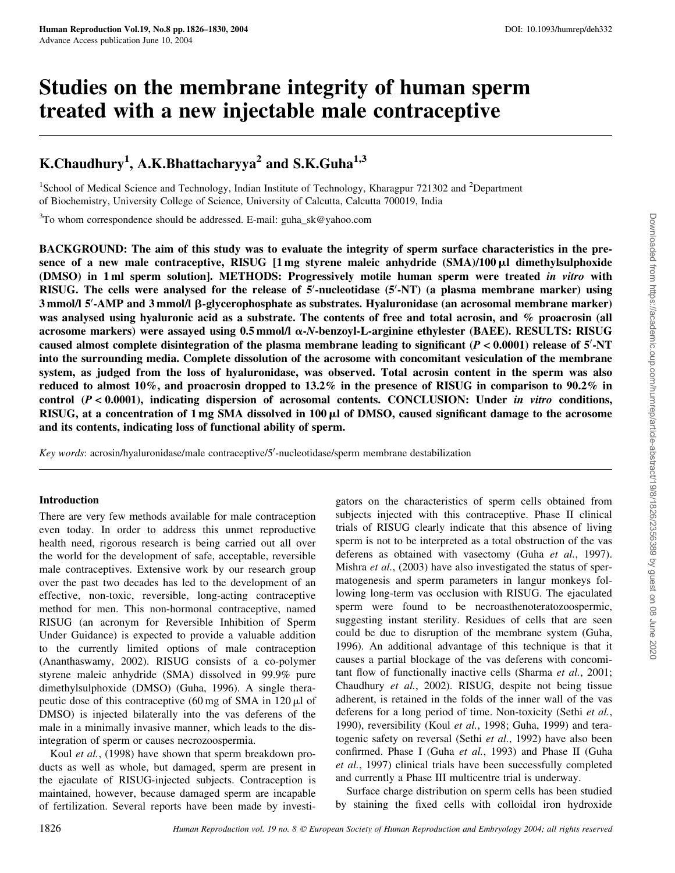# Studies on the membrane integrity of human sperm treated with a new injectable male contraceptive

# K.Chaudhury<sup>1</sup>, A.K.Bhattacharyya<sup>2</sup> and S.K.Guha<sup>1,3</sup>

<sup>1</sup>School of Medical Science and Technology, Indian Institute of Technology, Kharagpur 721302 and <sup>2</sup>Department of Biochemistry, University College of Science, University of Calcutta, Calcutta 700019, India

 $3$ To whom correspondence should be addressed. E-mail: guha\_sk@yahoo.com

BACKGROUND: The aim of this study was to evaluate the integrity of sperm surface characteristics in the presence of a new male contraceptive, RISUG  $[1 \text{ mg}$  styrene maleic anhydride  $(SMA)/100 \mu I$  dimethylsulphoxide (DMSO) in 1 ml sperm solution]. METHODS: Progressively motile human sperm were treated in vitro with RISUG. The cells were analysed for the release of 5'-nucleotidase (5'-NT) (a plasma membrane marker) using 3 mmol/l 5'-AMP and 3 mmol/l β-glycerophosphate as substrates. Hyaluronidase (an acrosomal membrane marker) was analysed using hyaluronic acid as a substrate. The contents of free and total acrosin, and % proacrosin (all acrosome markers) were assayed using  $0.5$  mmol/l  $\alpha$ -N-benzoyl-L-arginine ethylester (BAEE). RESULTS: RISUG caused almost complete disintegration of the plasma membrane leading to significant  $(P < 0.0001)$  release of  $5'$ -NT into the surrounding media. Complete dissolution of the acrosome with concomitant vesiculation of the membrane system, as judged from the loss of hyaluronidase, was observed. Total acrosin content in the sperm was also reduced to almost 10%, and proacrosin dropped to 13.2% in the presence of RISUG in comparison to 90.2% in control  $(P < 0.0001)$ , indicating dispersion of acrosomal contents. CONCLUSION: Under in vitro conditions, RISUG, at a concentration of  $1 \text{ mg SMA dissolved in } 100 \mu l$  of DMSO, caused significant damage to the acrosome and its contents, indicating loss of functional ability of sperm.

Key words: acrosin/hyaluronidase/male contraceptive/5'-nucleotidase/sperm membrane destabilization

## Introduction

There are very few methods available for male contraception even today. In order to address this unmet reproductive health need, rigorous research is being carried out all over the world for the development of safe, acceptable, reversible male contraceptives. Extensive work by our research group over the past two decades has led to the development of an effective, non-toxic, reversible, long-acting contraceptive method for men. This non-hormonal contraceptive, named RISUG (an acronym for Reversible Inhibition of Sperm Under Guidance) is expected to provide a valuable addition to the currently limited options of male contraception (Ananthaswamy, 2002). RISUG consists of a co-polymer styrene maleic anhydride (SMA) dissolved in 99.9% pure dimethylsulphoxide (DMSO) (Guha, 1996). A single therapeutic dose of this contraceptive  $(60 \text{ mg of SMA in } 120 \mu)$  of DMSO) is injected bilaterally into the vas deferens of the male in a minimally invasive manner, which leads to the disintegration of sperm or causes necrozoospermia.

Koul *et al.*, (1998) have shown that sperm breakdown products as well as whole, but damaged, sperm are present in the ejaculate of RISUG-injected subjects. Contraception is maintained, however, because damaged sperm are incapable of fertilization. Several reports have been made by investigators on the characteristics of sperm cells obtained from subjects injected with this contraceptive. Phase II clinical trials of RISUG clearly indicate that this absence of living sperm is not to be interpreted as a total obstruction of the vas deferens as obtained with vasectomy (Guha et al., 1997). Mishra *et al.*, (2003) have also investigated the status of spermatogenesis and sperm parameters in langur monkeys following long-term vas occlusion with RISUG. The ejaculated sperm were found to be necroasthenoteratozoospermic, suggesting instant sterility. Residues of cells that are seen could be due to disruption of the membrane system (Guha, 1996). An additional advantage of this technique is that it causes a partial blockage of the vas deferens with concomitant flow of functionally inactive cells (Sharma et al., 2001; Chaudhury et al., 2002). RISUG, despite not being tissue adherent, is retained in the folds of the inner wall of the vas deferens for a long period of time. Non-toxicity (Sethi et al., 1990), reversibility (Koul et al., 1998; Guha, 1999) and teratogenic safety on reversal (Sethi et al., 1992) have also been confirmed. Phase I (Guha et al., 1993) and Phase II (Guha et al., 1997) clinical trials have been successfully completed and currently a Phase III multicentre trial is underway.

Surface charge distribution on sperm cells has been studied by staining the fixed cells with colloidal iron hydroxide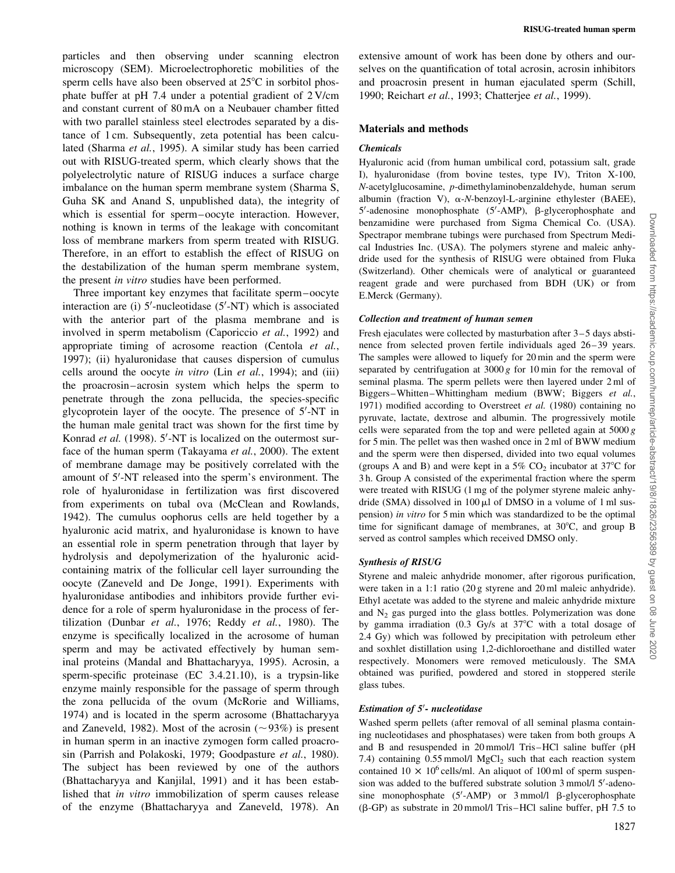particles and then observing under scanning electron microscopy (SEM). Microelectrophoretic mobilities of the sperm cells have also been observed at  $25^{\circ}$ C in sorbitol phosphate buffer at pH 7.4 under a potential gradient of 2 V/cm and constant current of 80 mA on a Neubauer chamber fitted with two parallel stainless steel electrodes separated by a distance of 1 cm. Subsequently, zeta potential has been calculated (Sharma et al., 1995). A similar study has been carried out with RISUG-treated sperm, which clearly shows that the polyelectrolytic nature of RISUG induces a surface charge imbalance on the human sperm membrane system (Sharma S, Guha SK and Anand S, unpublished data), the integrity of which is essential for sperm–oocyte interaction. However, nothing is known in terms of the leakage with concomitant loss of membrane markers from sperm treated with RISUG. Therefore, in an effort to establish the effect of RISUG on the destabilization of the human sperm membrane system, the present in vitro studies have been performed.

Three important key enzymes that facilitate sperm–oocyte interaction are (i)  $5'$ -nucleotidase  $(5'$ -NT) which is associated with the anterior part of the plasma membrane and is involved in sperm metabolism (Caporiccio et al., 1992) and appropriate timing of acrosome reaction (Centola et al., 1997); (ii) hyaluronidase that causes dispersion of cumulus cells around the oocyte in vitro (Lin et al., 1994); and (iii) the proacrosin–acrosin system which helps the sperm to penetrate through the zona pellucida, the species-specific glycoprotein layer of the oocyte. The presence of 5'-NT in the human male genital tract was shown for the first time by Konrad et al. (1998). 5'-NT is localized on the outermost surface of the human sperm (Takayama et al., 2000). The extent of membrane damage may be positively correlated with the amount of 5'-NT released into the sperm's environment. The role of hyaluronidase in fertilization was first discovered from experiments on tubal ova (McClean and Rowlands, 1942). The cumulus oophorus cells are held together by a hyaluronic acid matrix, and hyaluronidase is known to have an essential role in sperm penetration through that layer by hydrolysis and depolymerization of the hyaluronic acidcontaining matrix of the follicular cell layer surrounding the oocyte (Zaneveld and De Jonge, 1991). Experiments with hyaluronidase antibodies and inhibitors provide further evidence for a role of sperm hyaluronidase in the process of fertilization (Dunbar et al., 1976; Reddy et al., 1980). The enzyme is specifically localized in the acrosome of human sperm and may be activated effectively by human seminal proteins (Mandal and Bhattacharyya, 1995). Acrosin, a sperm-specific proteinase (EC 3.4.21.10), is a trypsin-like enzyme mainly responsible for the passage of sperm through the zona pellucida of the ovum (McRorie and Williams, 1974) and is located in the sperm acrosome (Bhattacharyya and Zaneveld, 1982). Most of the acrosin  $(\sim 93\%)$  is present in human sperm in an inactive zymogen form called proacrosin (Parrish and Polakoski, 1979; Goodpasture et al., 1980). The subject has been reviewed by one of the authors (Bhattacharyya and Kanjilal, 1991) and it has been established that in vitro immobilization of sperm causes release of the enzyme (Bhattacharyya and Zaneveld, 1978). An

extensive amount of work has been done by others and ourselves on the quantification of total acrosin, acrosin inhibitors and proacrosin present in human ejaculated sperm (Schill, 1990; Reichart et al., 1993; Chatterjee et al., 1999).

#### Materials and methods

#### Chemicals

Hyaluronic acid (from human umbilical cord, potassium salt, grade I), hyaluronidase (from bovine testes, type IV), Triton X-100, N-acetylglucosamine, p-dimethylaminobenzaldehyde, human serum albumin (fraction V),  $\alpha$ -N-benzoyl-L-arginine ethylester (BAEE), 5'-adenosine monophosphate (5'-AMP), β-glycerophosphate and benzamidine were purchased from Sigma Chemical Co. (USA). Spectrapor membrane tubings were purchased from Spectrum Medical Industries Inc. (USA). The polymers styrene and maleic anhydride used for the synthesis of RISUG were obtained from Fluka (Switzerland). Other chemicals were of analytical or guaranteed reagent grade and were purchased from BDH (UK) or from E.Merck (Germany).

#### Collection and treatment of human semen

Fresh ejaculates were collected by masturbation after 3–5 days abstinence from selected proven fertile individuals aged 26–39 years. The samples were allowed to liquefy for 20 min and the sperm were separated by centrifugation at  $3000 g$  for 10 min for the removal of seminal plasma. The sperm pellets were then layered under 2 ml of Biggers–Whitten–Whittingham medium (BWW; Biggers et al., 1971) modified according to Overstreet et al. (1980) containing no pyruvate, lactate, dextrose and albumin. The progressively motile cells were separated from the top and were pelleted again at  $5000 g$ for 5 min. The pellet was then washed once in 2 ml of BWW medium and the sperm were then dispersed, divided into two equal volumes (groups A and B) and were kept in a 5%  $CO<sub>2</sub>$  incubator at 37°C for 3 h. Group A consisted of the experimental fraction where the sperm were treated with RISUG (1 mg of the polymer styrene maleic anhydride (SMA) dissolved in  $100 \mu l$  of DMSO in a volume of 1 ml suspension) in vitro for 5 min which was standardized to be the optimal time for significant damage of membranes, at  $30^{\circ}$ C, and group B served as control samples which received DMSO only.

## Synthesis of RISUG

Styrene and maleic anhydride monomer, after rigorous purification, were taken in a 1:1 ratio (20 g styrene and 20 ml maleic anhydride). Ethyl acetate was added to the styrene and maleic anhydride mixture and  $N_2$  gas purged into the glass bottles. Polymerization was done by gamma irradiation  $(0.3 \text{ Gy/s at } 37^{\circ}\text{C with a total dosage of})$ 2.4 Gy) which was followed by precipitation with petroleum ether and soxhlet distillation using 1,2-dichloroethane and distilled water respectively. Monomers were removed meticulously. The SMA obtained was purified, powdered and stored in stoppered sterile glass tubes.

#### Estimation of 5'- nucleotidase

Washed sperm pellets (after removal of all seminal plasma containing nucleotidases and phosphatases) were taken from both groups A and B and resuspended in 20 mmol/l Tris–HCl saline buffer (pH 7.4) containing  $0.55$  mmol/l MgCl<sub>2</sub> such that each reaction system contained  $10 \times 10^6$  cells/ml. An aliquot of 100 ml of sperm suspension was added to the buffered substrate solution 3 mmol/l 5'-adenosine monophosphate  $(5'$ -AMP) or  $3$  mmol/l  $\beta$ -glycerophosphate ( $\beta$ -GP) as substrate in 20 mmol/l Tris–HCl saline buffer, pH 7.5 to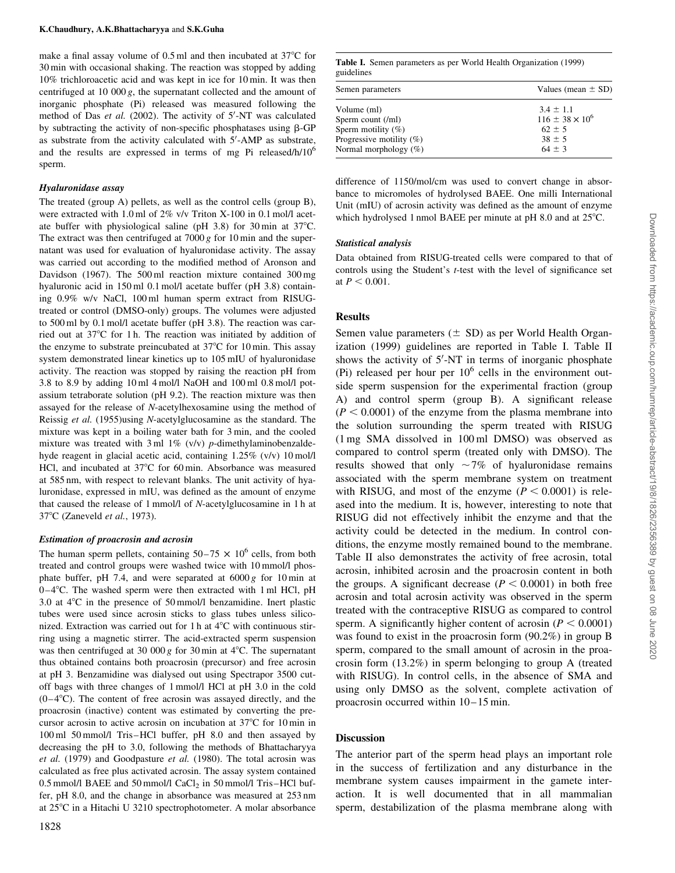make a final assay volume of  $0.5$  ml and then incubated at  $37^{\circ}$ C for 30 min with occasional shaking. The reaction was stopped by adding 10% trichloroacetic acid and was kept in ice for 10 min. It was then centrifuged at 10 000 g, the supernatant collected and the amount of inorganic phosphate (Pi) released was measured following the method of Das et al. (2002). The activity of 5'-NT was calculated by subtracting the activity of non-specific phosphatases using  $\beta$ -GP as substrate from the activity calculated with  $5'$ -AMP as substrate, and the results are expressed in terms of mg Pi released/h/10<sup>6</sup> sperm.

#### Hyaluronidase assay

The treated (group A) pellets, as well as the control cells (group B), were extracted with 1.0 ml of 2% v/v Triton X-100 in 0.1 mol/l acetate buffer with physiological saline (pH 3.8) for 30 min at  $37^{\circ}$ C. The extract was then centrifuged at  $7000 g$  for 10 min and the supernatant was used for evaluation of hyaluronidase activity. The assay was carried out according to the modified method of Aronson and Davidson (1967). The 500 ml reaction mixture contained 300 mg hyaluronic acid in 150 ml 0.1 mol/l acetate buffer (pH 3.8) containing 0.9% w/v NaCl, 100 ml human sperm extract from RISUGtreated or control (DMSO-only) groups. The volumes were adjusted to 500 ml by 0.1 mol/l acetate buffer (pH 3.8). The reaction was carried out at  $37^{\circ}$ C for 1 h. The reaction was initiated by addition of the enzyme to substrate preincubated at  $37^{\circ}$ C for 10 min. This assay system demonstrated linear kinetics up to 105 mIU of hyaluronidase activity. The reaction was stopped by raising the reaction pH from 3.8 to 8.9 by adding 10 ml 4 mol/l NaOH and 100 ml 0.8 mol/l potassium tetraborate solution (pH 9.2). The reaction mixture was then assayed for the release of N-acetylhexosamine using the method of Reissig et al. (1955)using N-acetylglucosamine as the standard. The mixture was kept in a boiling water bath for 3 min, and the cooled mixture was treated with  $3 \text{ ml } 1\%$  (v/v) p-dimethylaminobenzaldehyde reagent in glacial acetic acid, containing 1.25% (v/v) 10 mol/l HCl, and incubated at  $37^{\circ}$ C for 60 min. Absorbance was measured at 585 nm, with respect to relevant blanks. The unit activity of hyaluronidase, expressed in mIU, was defined as the amount of enzyme that caused the release of 1 mmol/l of N-acetylglucosamine in 1 h at 37°C (Zaneveld et al., 1973).

#### Estimation of proacrosin and acrosin

The human sperm pellets, containing  $50-75 \times 10^6$  cells, from both treated and control groups were washed twice with 10 mmol/l phosphate buffer, pH 7.4, and were separated at  $6000 g$  for 10 min at  $0-4$ °C. The washed sperm were then extracted with 1 ml HCl, pH 3.0 at  $4^{\circ}$ C in the presence of 50 mmol/l benzamidine. Inert plastic tubes were used since acrosin sticks to glass tubes unless siliconized. Extraction was carried out for 1 h at  $4^{\circ}$ C with continuous stirring using a magnetic stirrer. The acid-extracted sperm suspension was then centrifuged at 30 000 g for 30 min at  $4^{\circ}$ C. The supernatant thus obtained contains both proacrosin (precursor) and free acrosin at pH 3. Benzamidine was dialysed out using Spectrapor 3500 cutoff bags with three changes of 1 mmol/l HCl at pH 3.0 in the cold  $(0-4\degree C)$ . The content of free acrosin was assayed directly, and the proacrosin (inactive) content was estimated by converting the precursor acrosin to active acrosin on incubation at 37°C for 10 min in 100 ml 50 mmol/l Tris–HCl buffer, pH 8.0 and then assayed by decreasing the pH to 3.0, following the methods of Bhattacharyya et al. (1979) and Goodpasture et al. (1980). The total acrosin was calculated as free plus activated acrosin. The assay system contained 0.5 mmol/l BAEE and 50 mmol/l  $CaCl<sub>2</sub>$  in 50 mmol/l Tris–HCl buffer, pH 8.0, and the change in absorbance was measured at 253 nm at 25°C in a Hitachi U 3210 spectrophotometer. A molar absorbance

Table I. Semen parameters as per World Health Organization (1999) guidelines

| Semen parameters            | Values (mean $\pm$ SD)   |  |
|-----------------------------|--------------------------|--|
| Volume (ml)                 | $3.4 \pm 1.1$            |  |
| Sperm count (/ml)           | $116 \pm 38 \times 10^6$ |  |
| Sperm motility $(\% )$      | $62 \pm 5$               |  |
| Progressive motility $(\%)$ | $38 \pm 5$               |  |
| Normal morphology $(\%)$    | $64 \pm 3$               |  |

difference of 1150/mol/cm was used to convert change in absorbance to micromoles of hydrolysed BAEE. One milli International Unit (mIU) of acrosin activity was defined as the amount of enzyme which hydrolysed 1 nmol BAEE per minute at  $pH$  8.0 and at  $25^{\circ}C$ .

#### Statistical analysis

Data obtained from RISUG-treated cells were compared to that of controls using the Student's t-test with the level of significance set at  $P < 0.001$ .

#### Results

Semen value parameters  $(\pm$  SD) as per World Health Organization (1999) guidelines are reported in Table I. Table II shows the activity of 5'-NT in terms of inorganic phosphate (Pi) released per hour per  $10<sup>6</sup>$  cells in the environment outside sperm suspension for the experimental fraction (group A) and control sperm (group B). A significant release  $(P < 0.0001)$  of the enzyme from the plasma membrane into the solution surrounding the sperm treated with RISUG (1 mg SMA dissolved in 100 ml DMSO) was observed as compared to control sperm (treated only with DMSO). The results showed that only  $\sim$ 7% of hyaluronidase remains associated with the sperm membrane system on treatment with RISUG, and most of the enzyme ( $P < 0.0001$ ) is released into the medium. It is, however, interesting to note that RISUG did not effectively inhibit the enzyme and that the activity could be detected in the medium. In control conditions, the enzyme mostly remained bound to the membrane. Table II also demonstrates the activity of free acrosin, total acrosin, inhibited acrosin and the proacrosin content in both the groups. A significant decrease ( $P < 0.0001$ ) in both free acrosin and total acrosin activity was observed in the sperm treated with the contraceptive RISUG as compared to control sperm. A significantly higher content of acrosin ( $P < 0.0001$ ) was found to exist in the proacrosin form (90.2%) in group B sperm, compared to the small amount of acrosin in the proacrosin form (13.2%) in sperm belonging to group A (treated with RISUG). In control cells, in the absence of SMA and using only DMSO as the solvent, complete activation of proacrosin occurred within 10–15 min.

# Discussion

The anterior part of the sperm head plays an important role in the success of fertilization and any disturbance in the membrane system causes impairment in the gamete interaction. It is well documented that in all mammalian sperm, destabilization of the plasma membrane along with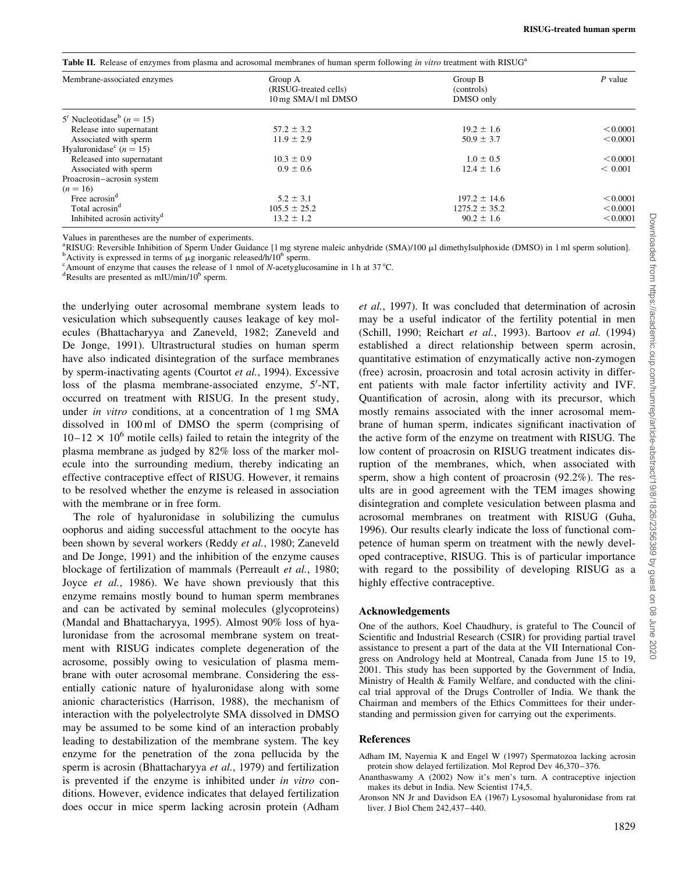Table II. Release of enzymes from plasma and acrosomal membranes of human sperm following in vitro treatment with RISUG<sup>a</sup>

| Membrane-associated enzymes             | Group A<br>(RISUG-treated cells)<br>10 mg SMA/1 ml DMSO | Group B<br>(controls)<br>DMSO only | $P$ value |
|-----------------------------------------|---------------------------------------------------------|------------------------------------|-----------|
|                                         |                                                         |                                    |           |
| Release into supernatant                | $57.2 \pm 3.2$                                          | $19.2 \pm 1.6$                     | < 0.0001  |
| Associated with sperm                   | $11.9 \pm 2.9$                                          | $50.9 \pm 3.7$                     | < 0.0001  |
| Hyaluronidase <sup>c</sup> ( $n = 15$ ) |                                                         |                                    |           |
| Released into supernatant               | $10.3 \pm 0.9$                                          | $1.0 \pm 0.5$                      | < 0.0001  |
| Associated with sperm                   | $0.9 \pm 0.6$                                           | $12.4 \pm 1.6$                     | < 0.001   |
| Proacrosin-acrosin system               |                                                         |                                    |           |
| $(n = 16)$                              |                                                         |                                    |           |
| Free acrosin <sup>d</sup>               | $5.2 \pm 3.1$                                           | $197.2 \pm 14.6$                   | < 0.0001  |
| Total acrosin <sup>d</sup>              | $105.5 \pm 25.2$                                        | $1275.2 \pm 35.2$                  | < 0.0001  |
| Inhibited acrosin activity <sup>d</sup> | $13.2 \pm 1.2$                                          | $90.2 \pm 1.6$                     | < 0.0001  |

Values in parentheses are the number of experiments.

<sup>a</sup>RISUG: Reversible Inhibition of Sperm Under Guidance [1 mg styrene maleic anhydride (SMA)/100 µl dimethylsulphoxide (DMSO) in 1 ml sperm solution].  $b$ Activity is expressed in terms of  $\mu$ g inorganic released/h/10<sup>6</sup> sperm.

<sup>c</sup> Amount of enzyme that causes the release of 1 nmol of N-acetyglucosamine in 1 h at 37 °C.

Results are presented as mIU/min/106 sperm.

the underlying outer acrosomal membrane system leads to vesiculation which subsequently causes leakage of key molecules (Bhattacharyya and Zaneveld, 1982; Zaneveld and De Jonge, 1991). Ultrastructural studies on human sperm have also indicated disintegration of the surface membranes by sperm-inactivating agents (Courtot et al., 1994). Excessive loss of the plasma membrane-associated enzyme, 5'-NT, occurred on treatment with RISUG. In the present study, under in vitro conditions, at a concentration of 1 mg SMA dissolved in 100 ml of DMSO the sperm (comprising of  $10-12 \times 10^6$  motile cells) failed to retain the integrity of the plasma membrane as judged by 82% loss of the marker molecule into the surrounding medium, thereby indicating an effective contraceptive effect of RISUG. However, it remains to be resolved whether the enzyme is released in association with the membrane or in free form.

The role of hyaluronidase in solubilizing the cumulus oophorus and aiding successful attachment to the oocyte has been shown by several workers (Reddy et al., 1980; Zaneveld and De Jonge, 1991) and the inhibition of the enzyme causes blockage of fertilization of mammals (Perreault et al., 1980; Joyce et al., 1986). We have shown previously that this enzyme remains mostly bound to human sperm membranes and can be activated by seminal molecules (glycoproteins) (Mandal and Bhattacharyya, 1995). Almost 90% loss of hyaluronidase from the acrosomal membrane system on treatment with RISUG indicates complete degeneration of the acrosome, possibly owing to vesiculation of plasma membrane with outer acrosomal membrane. Considering the essentially cationic nature of hyaluronidase along with some anionic characteristics (Harrison, 1988), the mechanism of interaction with the polyelectrolyte SMA dissolved in DMSO may be assumed to be some kind of an interaction probably leading to destabilization of the membrane system. The key enzyme for the penetration of the zona pellucida by the sperm is acrosin (Bhattacharyya et al., 1979) and fertilization is prevented if the enzyme is inhibited under in vitro conditions. However, evidence indicates that delayed fertilization does occur in mice sperm lacking acrosin protein (Adham et al., 1997). It was concluded that determination of acrosin may be a useful indicator of the fertility potential in men (Schill, 1990; Reichart et al., 1993). Bartoov et al. (1994) established a direct relationship between sperm acrosin, quantitative estimation of enzymatically active non-zymogen (free) acrosin, proacrosin and total acrosin activity in different patients with male factor infertility activity and IVF. Quantification of acrosin, along with its precursor, which mostly remains associated with the inner acrosomal membrane of human sperm, indicates significant inactivation of the active form of the enzyme on treatment with RISUG. The low content of proacrosin on RISUG treatment indicates disruption of the membranes, which, when associated with sperm, show a high content of proacrosin (92.2%). The results are in good agreement with the TEM images showing disintegration and complete vesiculation between plasma and acrosomal membranes on treatment with RISUG (Guha, 1996). Our results clearly indicate the loss of functional competence of human sperm on treatment with the newly developed contraceptive, RISUG. This is of particular importance with regard to the possibility of developing RISUG as a highly effective contraceptive.

#### Acknowledgements

One of the authors, Koel Chaudhury, is grateful to The Council of Scientific and Industrial Research (CSIR) for providing partial travel assistance to present a part of the data at the VII International Congress on Andrology held at Montreal, Canada from June 15 to 19, 2001. This study has been supported by the Government of India, Ministry of Health & Family Welfare, and conducted with the clinical trial approval of the Drugs Controller of India. We thank the Chairman and members of the Ethics Committees for their understanding and permission given for carrying out the experiments.

#### References

- Adham IM, Nayernia K and Engel W (1997) Spermatozoa lacking acrosin protein show delayed fertilization. Mol Reprod Dev 46,370–376.
- Ananthaswamy A (2002) Now it's men's turn. A contraceptive injection makes its debut in India. New Scientist 174,5.
- Aronson NN Jr and Davidson EA (1967) Lysosomal hyaluronidase from rat liver. J Biol Chem 242,437–440.